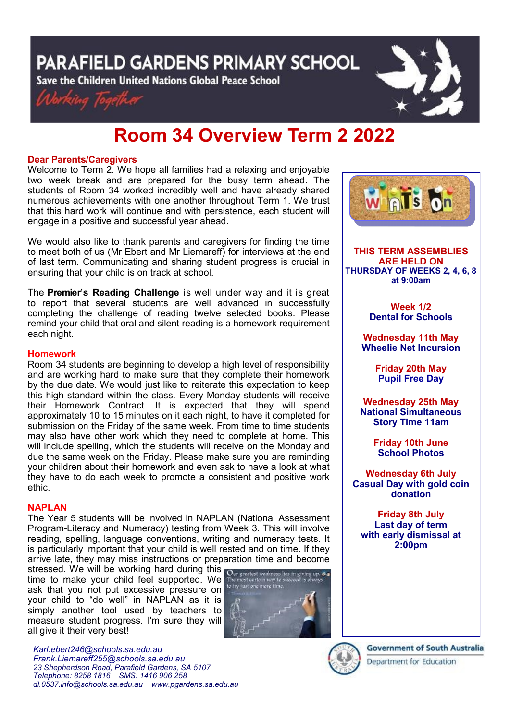PARAFIELD GARDENS PRIMARY SCHOOL

Save the Children United Nations Global Peace School





# **Room 34 Overview Term 2 2022**

## **Dear Parents/Caregivers**

Welcome to Term 2. We hope all families had a relaxing and enjoyable two week break and are prepared for the busy term ahead. The students of Room 34 worked incredibly well and have already shared numerous achievements with one another throughout Term 1. We trust that this hard work will continue and with persistence, each student will engage in a positive and successful year ahead.

We would also like to thank parents and caregivers for finding the time to meet both of us (Mr Ebert and Mr Liemareff) for interviews at the end of last term. Communicating and sharing student progress is crucial in ensuring that your child is on track at school.

The **Premier's Reading Challenge** is well under way and it is great to report that several students are well advanced in successfully completing the challenge of reading twelve selected books. Please remind your child that oral and silent reading is a homework requirement each night.

## **Homework**

Room 34 students are beginning to develop a high level of responsibility and are working hard to make sure that they complete their homework by the due date. We would just like to reiterate this expectation to keep this high standard within the class. Every Monday students will receive their Homework Contract. It is expected that they will spend approximately 10 to 15 minutes on it each night, to have it completed for submission on the Friday of the same week. From time to time students may also have other work which they need to complete at home. This will include spelling, which the students will receive on the Monday and due the same week on the Friday. Please make sure you are reminding your children about their homework and even ask to have a look at what they have to do each week to promote a consistent and positive work ethic.

#### **NAPLAN**

The Year 5 students will be involved in NAPLAN (National Assessment Program-Literacy and Numeracy) testing from Week 3. This will involve reading, spelling, language conventions, writing and numeracy tests. It is particularly important that your child is well rested and on time. If they arrive late, they may miss instructions or preparation time and become

stressed. We will be working hard during this **Our greatest weakness lies in giving up &** time to make your child feel supported. We the ask that you not put excessive pressure on the most certain ray ask that you not put excessive pressure on your child to "do well" in NAPLAN as it is simply another tool used by teachers to measure student progress. I'm sure they will all give it their very best!



*Karl.ebert246@schools.sa.edu.au Frank.Liemareff255@schools.sa.edu.au 23 Shepherdson Road, Parafield Gardens, SA 5107 Telephone: 8258 1816 [SMS:](http://www.youtube.com/user/ParafieldGR7) 1416 906 258 dl[.0537.info@schools.sa.edu.au](mailto:dl.0537_info@schools.sa.edu.au) www.pgardens.sa.edu.au*



**THIS TERM ASSEMBLIES ARE HELD ON THURSDAY OF WEEKS 2, 4, 6, 8 at 9:00am** 

> **Week 1/2 Dental for Schools**

**Wednesday 11th May Wheelie Net Incursion**

> **Friday 20th May Pupil Free Day**

**Wednesday 25th May National Simultaneous Story Time 11am**

> **Friday 10th June School Photos**

**Wednesday 6th July Casual Day with gold coin donation**

**Friday 8th July Last day of term with early dismissal at 2:00pm**



**Government of South Australia**